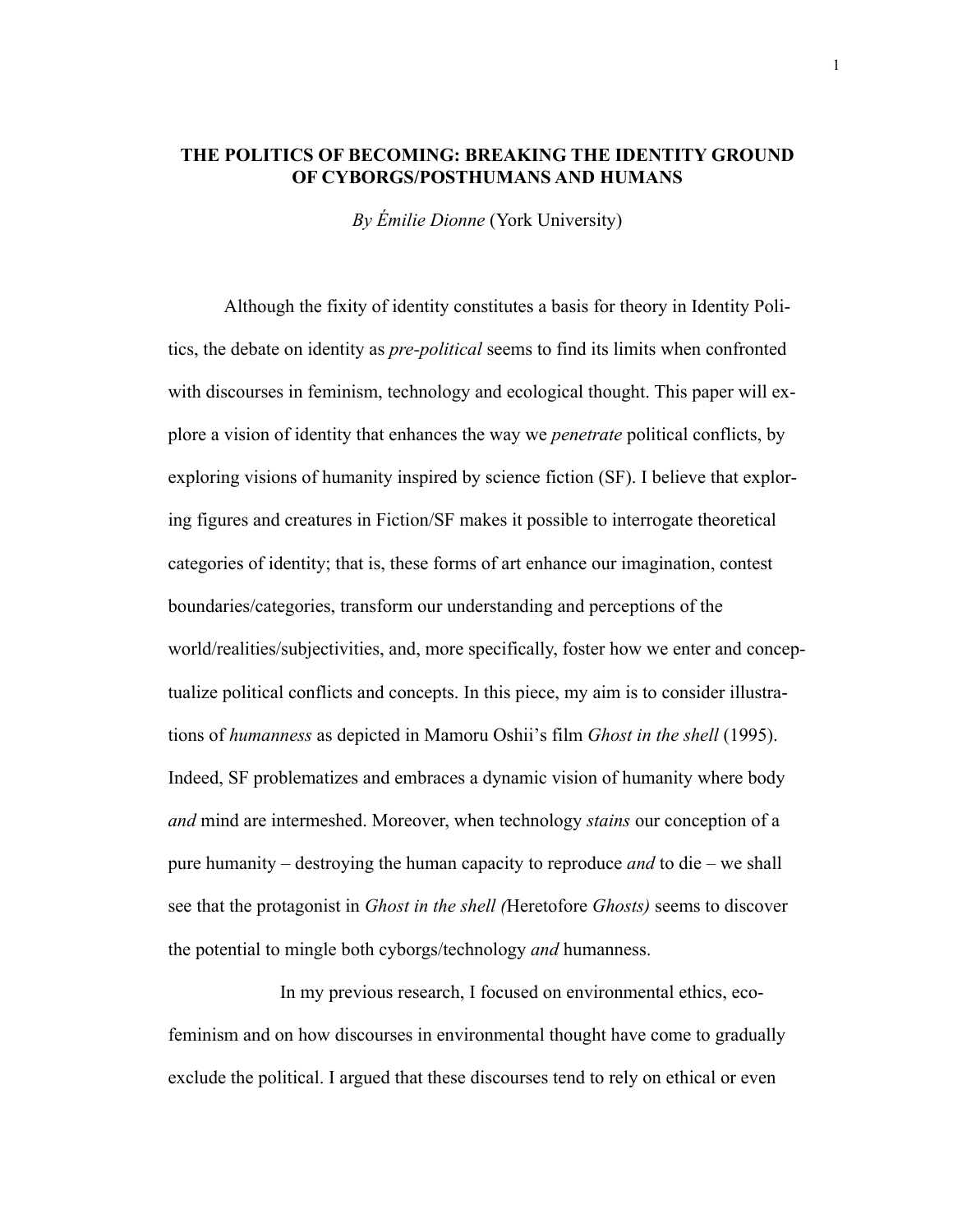# **THE POLITICS OF BECOMING: BREAKING THE IDENTITY GROUND OF CYBORGS/POSTHUMANS AND HUMANS**

*By Émilie Dionne* (York University)

Although the fixity of identity constitutes a basis for theory in Identity Politics, the debate on identity as *pre-political* seems to find its limits when confronted with discourses in feminism, technology and ecological thought. This paper will explore a vision of identity that enhances the way we *penetrate* political conflicts, by exploring visions of humanity inspired by science fiction (SF). I believe that exploring figures and creatures in Fiction/SF makes it possible to interrogate theoretical categories of identity; that is, these forms of art enhance our imagination, contest boundaries/categories, transform our understanding and perceptions of the world/realities/subjectivities, and, more specifically, foster how we enter and conceptualize political conflicts and concepts. In this piece, my aim is to consider illustrations of *humanness* as depicted in Mamoru Oshii's film *Ghost in the shell* (1995). Indeed, SF problematizes and embraces a dynamic vision of humanity where body *and* mind are intermeshed. Moreover, when technology *stains* our conception of a pure humanity – destroying the human capacity to reproduce *and* to die – we shall see that the protagonist in *Ghost in the shell (*Heretofore *Ghosts)* seems to discover the potential to mingle both cyborgs/technology *and* humanness.

In my previous research, I focused on environmental ethics, ecofeminism and on how discourses in environmental thought have come to gradually exclude the political. I argued that these discourses tend to rely on ethical or even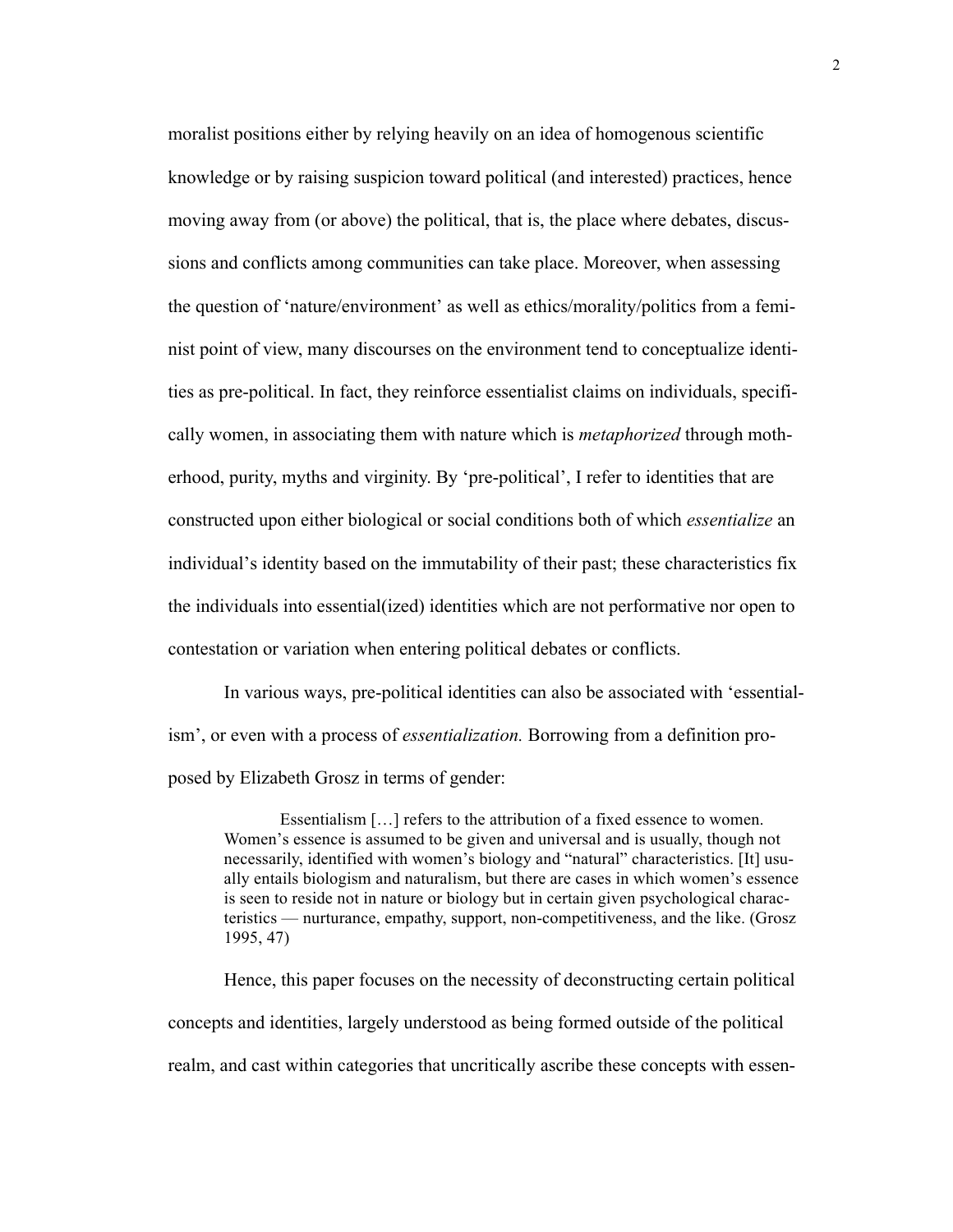moralist positions either by relying heavily on an idea of homogenous scientific knowledge or by raising suspicion toward political (and interested) practices, hence moving away from (or above) the political, that is, the place where debates, discussions and conflicts among communities can take place. Moreover, when assessing the question of 'nature/environment' as well as ethics/morality/politics from a feminist point of view, many discourses on the environment tend to conceptualize identities as pre-political. In fact, they reinforce essentialist claims on individuals, specifically women, in associating them with nature which is *metaphorized* through motherhood, purity, myths and virginity. By 'pre-political', I refer to identities that are constructed upon either biological or social conditions both of which *essentialize* an individual's identity based on the immutability of their past; these characteristics fix the individuals into essential(ized) identities which are not performative nor open to contestation or variation when entering political debates or conflicts.

In various ways, pre-political identities can also be associated with 'essentialism', or even with a process of *essentialization.* Borrowing from a definition proposed by Elizabeth Grosz in terms of gender:

Essentialism […] refers to the attribution of a fixed essence to women. Women's essence is assumed to be given and universal and is usually, though not necessarily, identified with women's biology and "natural" characteristics. [It] usually entails biologism and naturalism, but there are cases in which women's essence is seen to reside not in nature or biology but in certain given psychological characteristics — nurturance, empathy, support, non-competitiveness, and the like. (Grosz 1995, 47)

Hence, this paper focuses on the necessity of deconstructing certain political concepts and identities, largely understood as being formed outside of the political realm, and cast within categories that uncritically ascribe these concepts with essen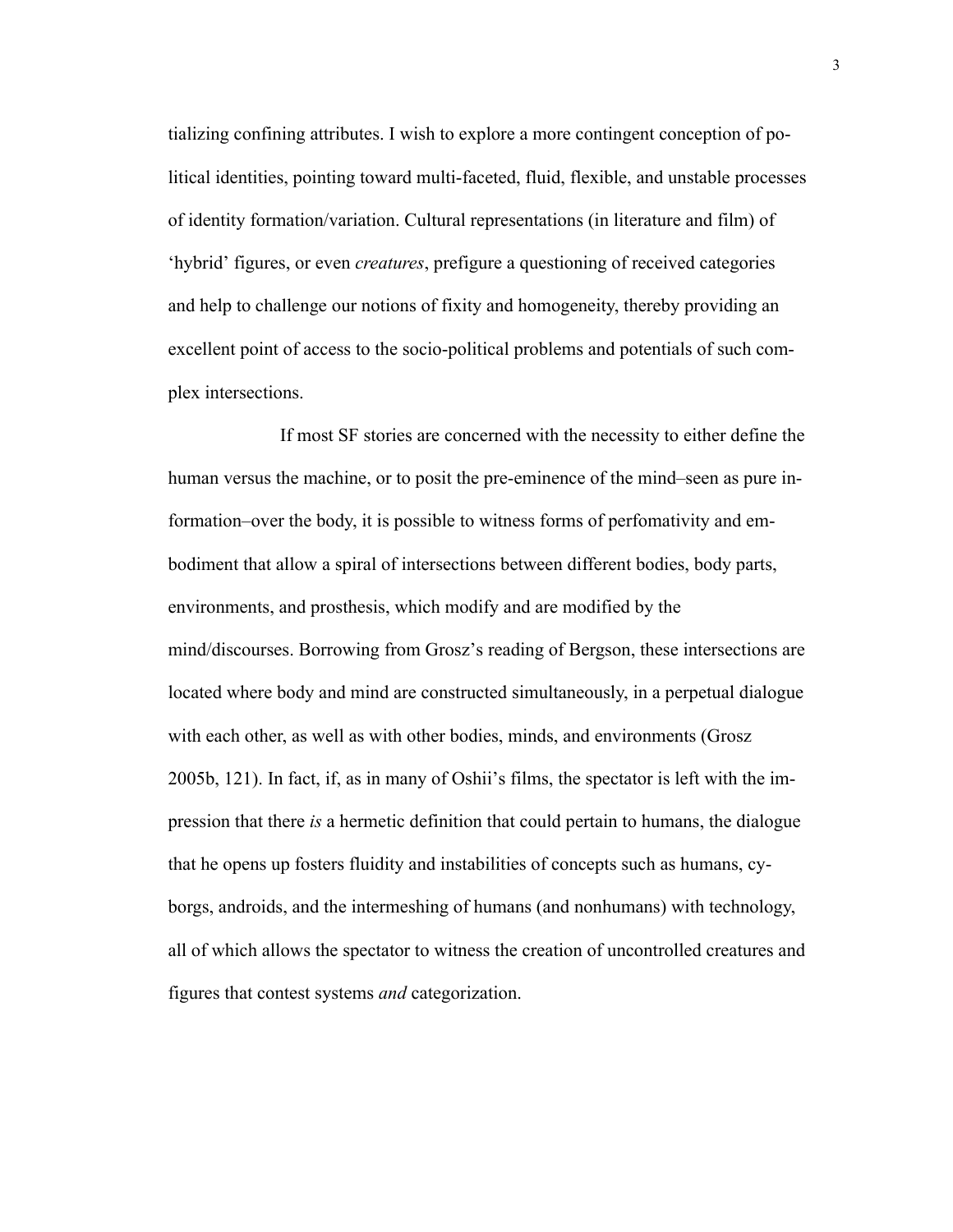tializing confining attributes. I wish to explore a more contingent conception of political identities, pointing toward multi-faceted, fluid, flexible, and unstable processes of identity formation/variation. Cultural representations (in literature and film) of 'hybrid' figures, or even *creatures*, prefigure a questioning of received categories and help to challenge our notions of fixity and homogeneity, thereby providing an excellent point of access to the socio-political problems and potentials of such complex intersections.

If most SF stories are concerned with the necessity to either define the human versus the machine, or to posit the pre-eminence of the mind–seen as pure information–over the body, it is possible to witness forms of perfomativity and embodiment that allow a spiral of intersections between different bodies, body parts, environments, and prosthesis, which modify and are modified by the mind/discourses. Borrowing from Grosz's reading of Bergson, these intersections are located where body and mind are constructed simultaneously, in a perpetual dialogue with each other, as well as with other bodies, minds, and environments (Grosz 2005b, 121). In fact, if, as in many of Oshii's films, the spectator is left with the impression that there *is* a hermetic definition that could pertain to humans, the dialogue that he opens up fosters fluidity and instabilities of concepts such as humans, cyborgs, androids, and the intermeshing of humans (and nonhumans) with technology, all of which allows the spectator to witness the creation of uncontrolled creatures and figures that contest systems *and* categorization.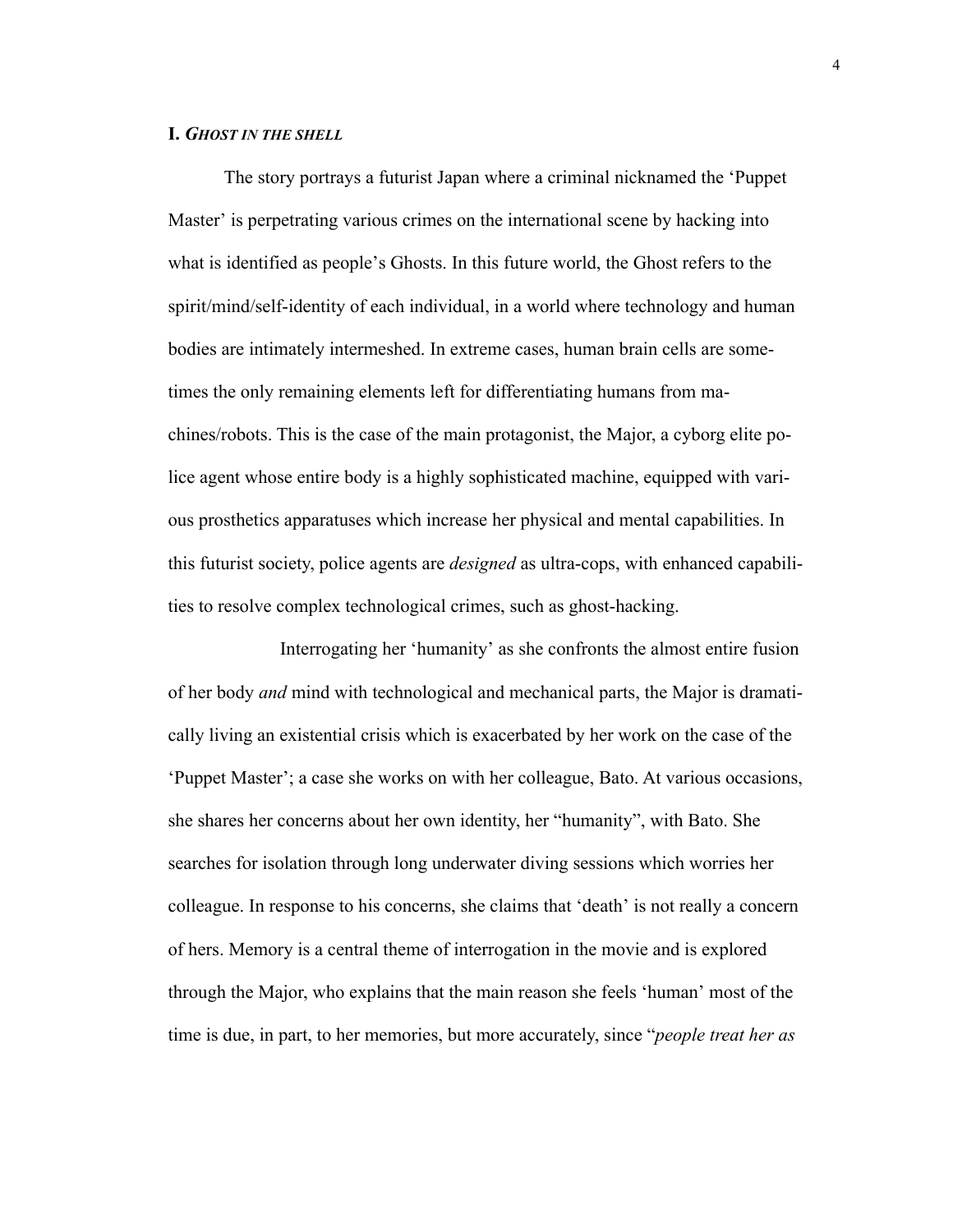#### **I.** *GHOST IN THE SHELL*

The story portrays a futurist Japan where a criminal nicknamed the 'Puppet Master' is perpetrating various crimes on the international scene by hacking into what is identified as people's Ghosts. In this future world, the Ghost refers to the spirit/mind/self-identity of each individual, in a world where technology and human bodies are intimately intermeshed. In extreme cases, human brain cells are sometimes the only remaining elements left for differentiating humans from machines/robots. This is the case of the main protagonist, the Major, a cyborg elite police agent whose entire body is a highly sophisticated machine, equipped with various prosthetics apparatuses which increase her physical and mental capabilities. In this futurist society, police agents are *designed* as ultra-cops, with enhanced capabilities to resolve complex technological crimes, such as ghost-hacking.

Interrogating her 'humanity' as she confronts the almost entire fusion of her body *and* mind with technological and mechanical parts, the Major is dramatically living an existential crisis which is exacerbated by her work on the case of the 'Puppet Master'; a case she works on with her colleague, Bato. At various occasions, she shares her concerns about her own identity, her "humanity", with Bato. She searches for isolation through long underwater diving sessions which worries her colleague. In response to his concerns, she claims that 'death' is not really a concern of hers. Memory is a central theme of interrogation in the movie and is explored through the Major, who explains that the main reason she feels 'human' most of the time is due, in part, to her memories, but more accurately, since "*people treat her as*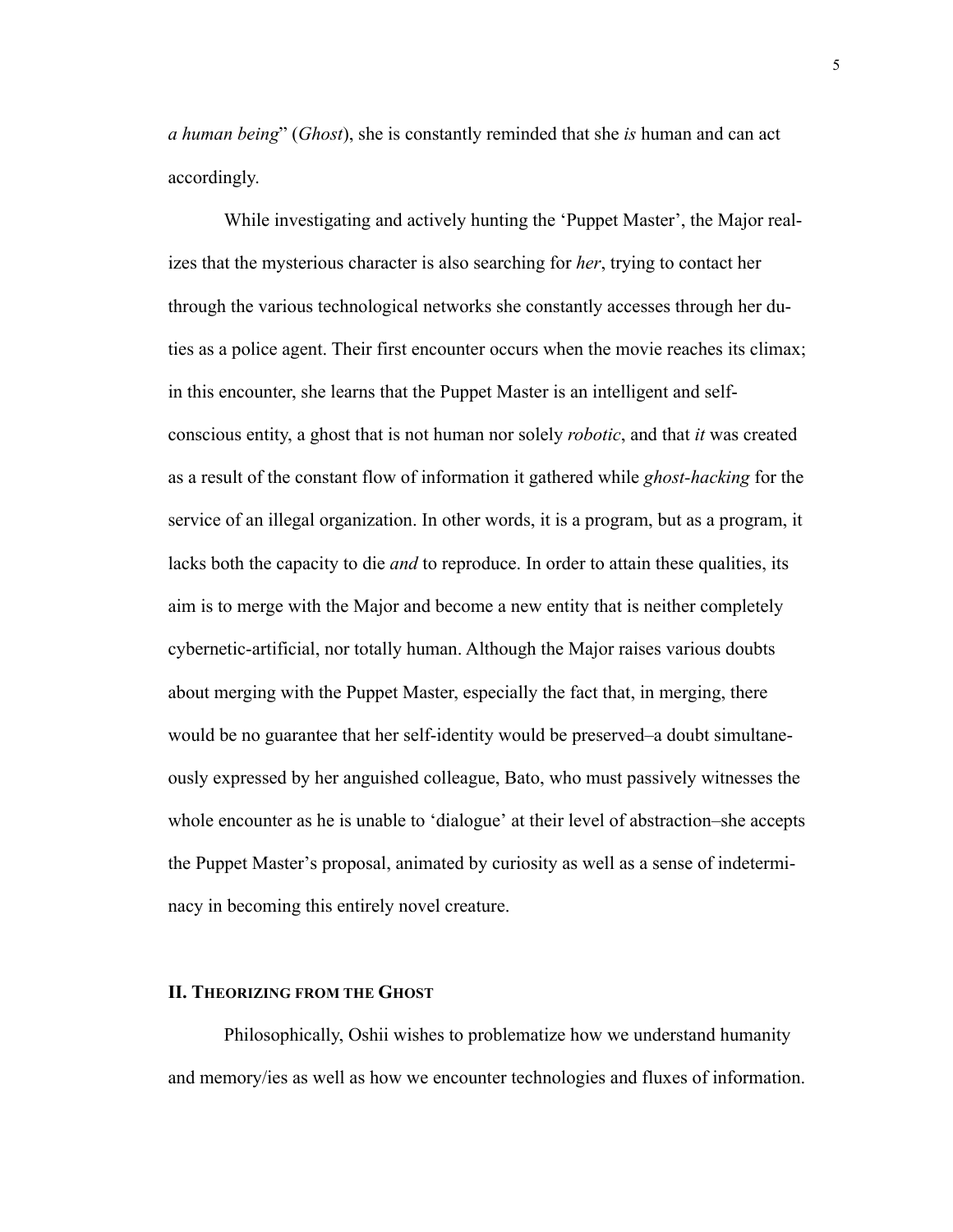*a human being*" (*Ghost*), she is constantly reminded that she *is* human and can act accordingly.

While investigating and actively hunting the 'Puppet Master', the Major realizes that the mysterious character is also searching for *her*, trying to contact her through the various technological networks she constantly accesses through her duties as a police agent. Their first encounter occurs when the movie reaches its climax; in this encounter, she learns that the Puppet Master is an intelligent and selfconscious entity, a ghost that is not human nor solely *robotic*, and that *it* was created as a result of the constant flow of information it gathered while *ghost-hacking* for the service of an illegal organization. In other words, it is a program, but as a program, it lacks both the capacity to die *and* to reproduce. In order to attain these qualities, its aim is to merge with the Major and become a new entity that is neither completely cybernetic-artificial, nor totally human. Although the Major raises various doubts about merging with the Puppet Master, especially the fact that, in merging, there would be no guarantee that her self-identity would be preserved–a doubt simultaneously expressed by her anguished colleague, Bato, who must passively witnesses the whole encounter as he is unable to 'dialogue' at their level of abstraction–she accepts the Puppet Master's proposal, animated by curiosity as well as a sense of indeterminacy in becoming this entirely novel creature.

# **II. THEORIZING FROM THE GHOST**

Philosophically, Oshii wishes to problematize how we understand humanity and memory/ies as well as how we encounter technologies and fluxes of information.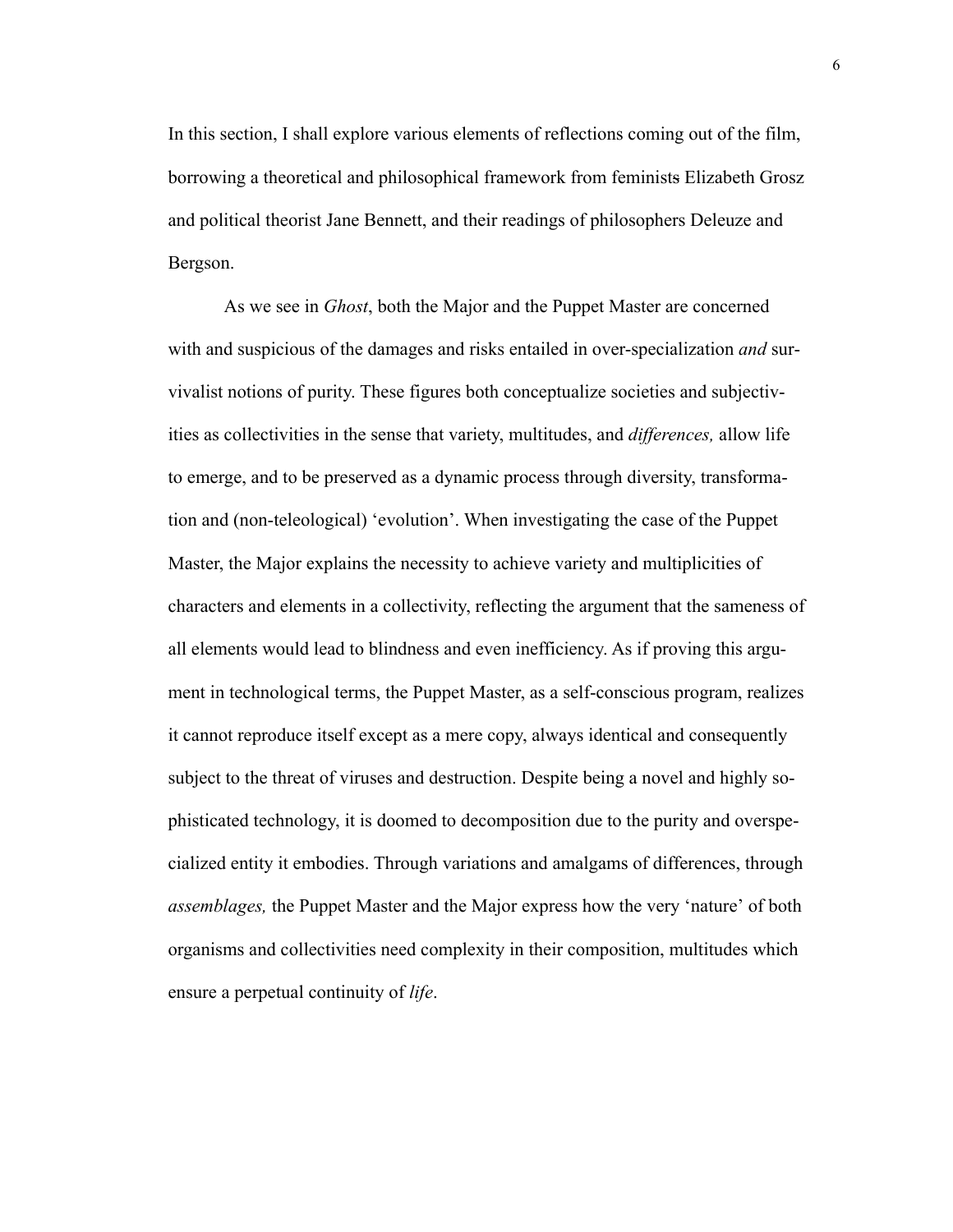In this section, I shall explore various elements of reflections coming out of the film, borrowing a theoretical and philosophical framework from feminists Elizabeth Grosz and political theorist Jane Bennett, and their readings of philosophers Deleuze and Bergson.

As we see in *Ghost*, both the Major and the Puppet Master are concerned with and suspicious of the damages and risks entailed in over-specialization *and* survivalist notions of purity. These figures both conceptualize societies and subjectivities as collectivities in the sense that variety, multitudes, and *differences,* allow life to emerge, and to be preserved as a dynamic process through diversity, transformation and (non-teleological) 'evolution'. When investigating the case of the Puppet Master, the Major explains the necessity to achieve variety and multiplicities of characters and elements in a collectivity, reflecting the argument that the sameness of all elements would lead to blindness and even inefficiency. As if proving this argument in technological terms, the Puppet Master, as a self-conscious program, realizes it cannot reproduce itself except as a mere copy, always identical and consequently subject to the threat of viruses and destruction. Despite being a novel and highly sophisticated technology, it is doomed to decomposition due to the purity and overspecialized entity it embodies. Through variations and amalgams of differences, through *assemblages,* the Puppet Master and the Major express how the very 'nature' of both organisms and collectivities need complexity in their composition, multitudes which ensure a perpetual continuity of *life*.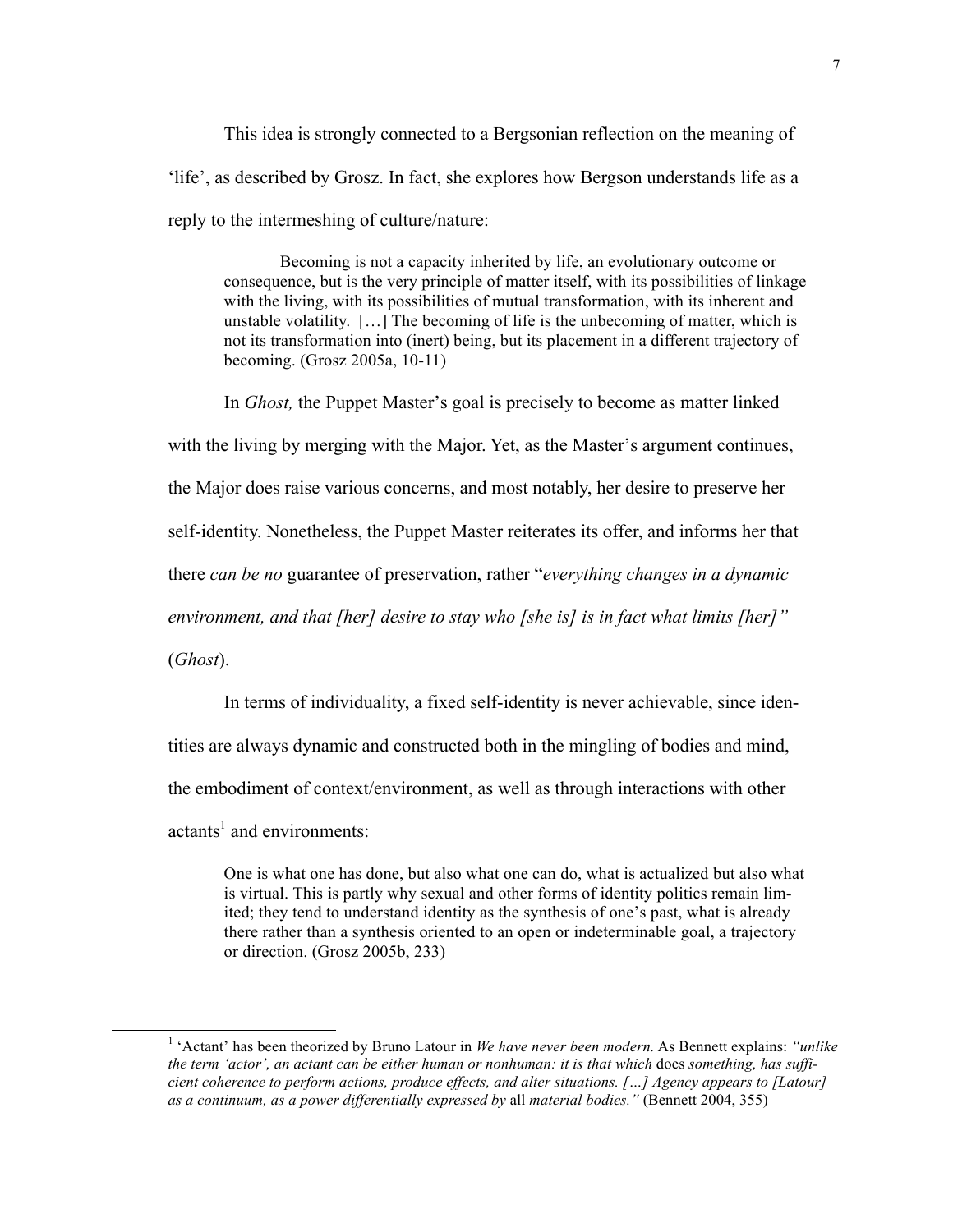This idea is strongly connected to a Bergsonian reflection on the meaning of 'life', as described by Grosz. In fact, she explores how Bergson understands life as a reply to the intermeshing of culture/nature:

Becoming is not a capacity inherited by life, an evolutionary outcome or consequence, but is the very principle of matter itself, with its possibilities of linkage with the living, with its possibilities of mutual transformation, with its inherent and unstable volatility. […] The becoming of life is the unbecoming of matter, which is not its transformation into (inert) being, but its placement in a different trajectory of becoming. (Grosz 2005a, 10-11)

In *Ghost,* the Puppet Master's goal is precisely to become as matter linked

with the living by merging with the Major. Yet, as the Master's argument continues,

the Major does raise various concerns, and most notably, her desire to preserve her

self-identity. Nonetheless, the Puppet Master reiterates its offer, and informs her that

there *can be no* guarantee of preservation, rather "*everything changes in a dynamic* 

*environment, and that [her] desire to stay who [she is] is in fact what limits [her]"* 

(*Ghost*).

In terms of individuality, a fixed self-identity is never achievable, since iden-

tities are always dynamic and constructed both in the mingling of bodies and mind,

the embodiment of context/environment, as well as through interactions with other

 $\arctan s<sup>1</sup>$  and environments:

One is what one has done, but also what one can do, what is actualized but also what is virtual. This is partly why sexual and other forms of identity politics remain limited; they tend to understand identity as the synthesis of one's past, what is already there rather than a synthesis oriented to an open or indeterminable goal, a trajectory or direction. (Grosz 2005b, 233)

 <sup>1</sup> 'Actant' has been theorized by Bruno Latour in *We have never been modern.* As Bennett explains: *"unlike* the term 'actor', an actant can be either human or nonhuman: it is that which does something, has suffi*cient coherence to perform actions, produce effects, and alter situations. […] Agency appears to [Latour] as a continuum, as a power differentially expressed by* all *material bodies."* (Bennett 2004, 355)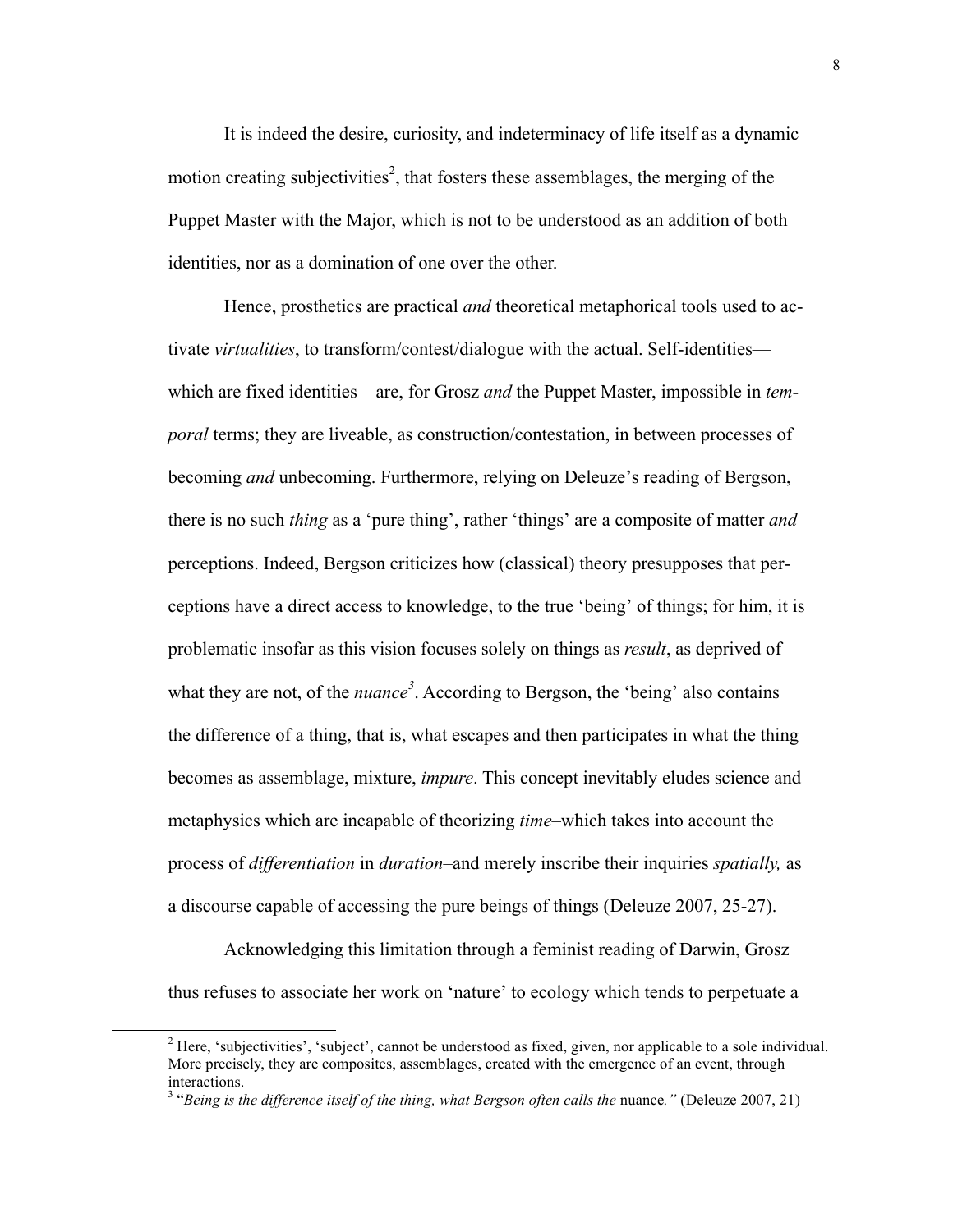It is indeed the desire, curiosity, and indeterminacy of life itself as a dynamic motion creating subjectivities<sup>2</sup>, that fosters these assemblages, the merging of the Puppet Master with the Major, which is not to be understood as an addition of both identities, nor as a domination of one over the other.

Hence, prosthetics are practical *and* theoretical metaphorical tools used to activate *virtualities*, to transform/contest/dialogue with the actual. Self-identities which are fixed identities—are, for Grosz *and* the Puppet Master, impossible in *temporal* terms; they are liveable, as construction/contestation, in between processes of becoming *and* unbecoming. Furthermore, relying on Deleuze's reading of Bergson, there is no such *thing* as a 'pure thing', rather 'things' are a composite of matter *and*  perceptions. Indeed, Bergson criticizes how (classical) theory presupposes that perceptions have a direct access to knowledge, to the true 'being' of things; for him, it is problematic insofar as this vision focuses solely on things as *result*, as deprived of what they are not, of the  $nuance<sup>3</sup>$ . According to Bergson, the 'being' also contains the difference of a thing, that is, what escapes and then participates in what the thing becomes as assemblage, mixture, *impure*. This concept inevitably eludes science and metaphysics which are incapable of theorizing *time*–which takes into account the process of *differentiation* in *duration*–and merely inscribe their inquiries *spatially,* as a discourse capable of accessing the pure beings of things (Deleuze 2007, 25-27).

Acknowledging this limitation through a feminist reading of Darwin, Grosz thus refuses to associate her work on 'nature' to ecology which tends to perpetuate a

<sup>&</sup>lt;sup>2</sup> Here, 'subjectivities', 'subject', cannot be understood as fixed, given, nor applicable to a sole individual. More precisely, they are composites, assemblages, created with the emergence of an event, through interactions. <sup>3</sup> "*Being is the difference itself of the thing, what Bergson often calls the* nuance*."* (Deleuze 2007, 21)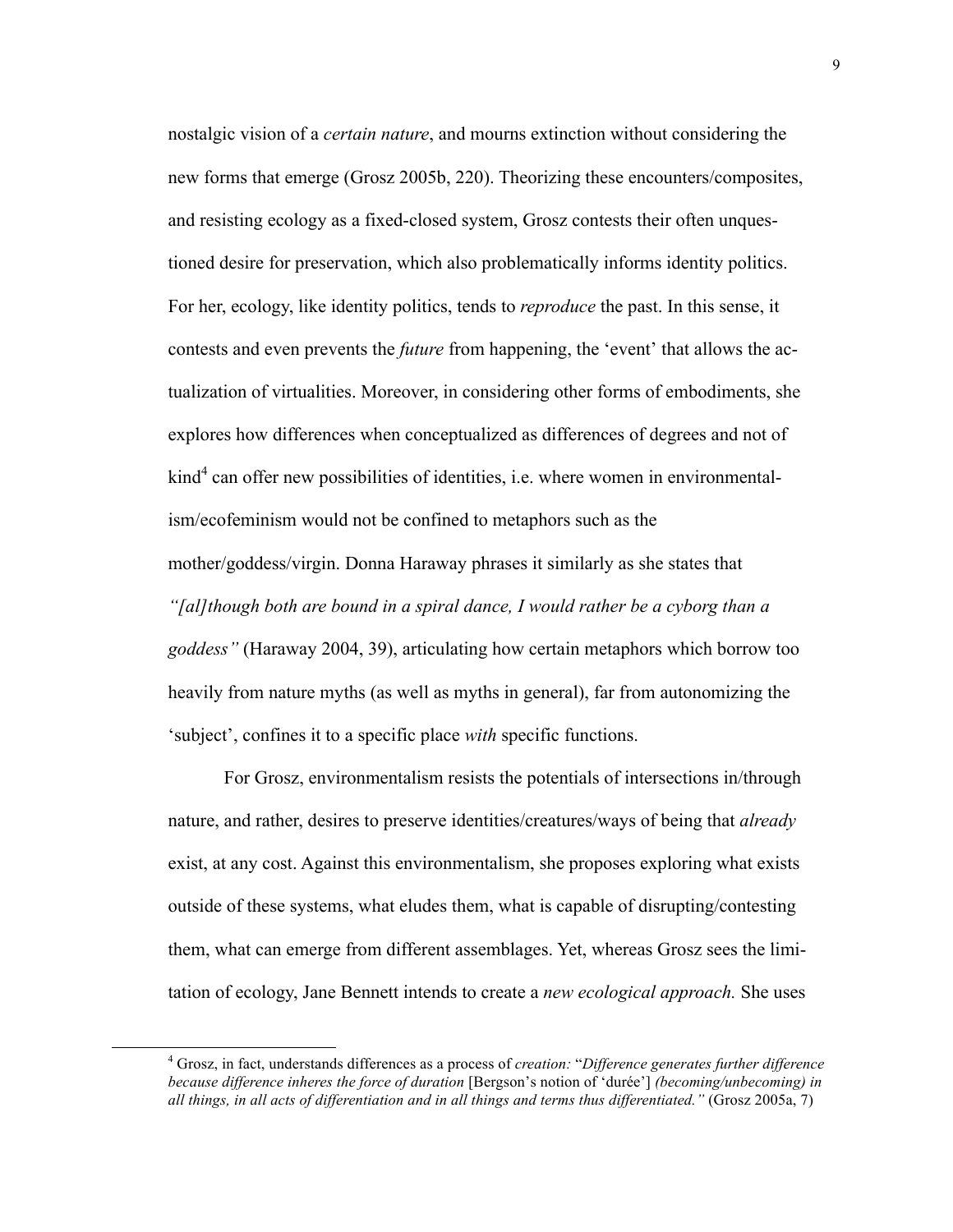nostalgic vision of a *certain nature*, and mourns extinction without considering the new forms that emerge (Grosz 2005b, 220). Theorizing these encounters/composites, and resisting ecology as a fixed-closed system, Grosz contests their often unquestioned desire for preservation, which also problematically informs identity politics. For her, ecology, like identity politics, tends to *reproduce* the past. In this sense, it contests and even prevents the *future* from happening, the 'event' that allows the actualization of virtualities. Moreover, in considering other forms of embodiments, she explores how differences when conceptualized as differences of degrees and not of  $\text{kind}^4$  can offer new possibilities of identities, i.e. where women in environmentalism/ecofeminism would not be confined to metaphors such as the mother/goddess/virgin. Donna Haraway phrases it similarly as she states that *"[al]though both are bound in a spiral dance, I would rather be a cyborg than a goddess"* (Haraway 2004, 39), articulating how certain metaphors which borrow too heavily from nature myths (as well as myths in general), far from autonomizing the 'subject', confines it to a specific place *with* specific functions.

For Grosz, environmentalism resists the potentials of intersections in/through nature, and rather, desires to preserve identities/creatures/ways of being that *already* exist, at any cost. Against this environmentalism, she proposes exploring what exists outside of these systems, what eludes them, what is capable of disrupting/contesting them, what can emerge from different assemblages. Yet, whereas Grosz sees the limitation of ecology, Jane Bennett intends to create a *new ecological approach.* She uses

 <sup>4</sup> Grosz, in fact, understands differences as <sup>a</sup> process of *creation:* "*Difference generates further difference because difference inheres the force of duration* [Bergson's notion of 'durée'] *(becoming/unbecoming) in all things, in all acts of differentiation and in all things and terms thus differentiated."* (Grosz 2005a, 7)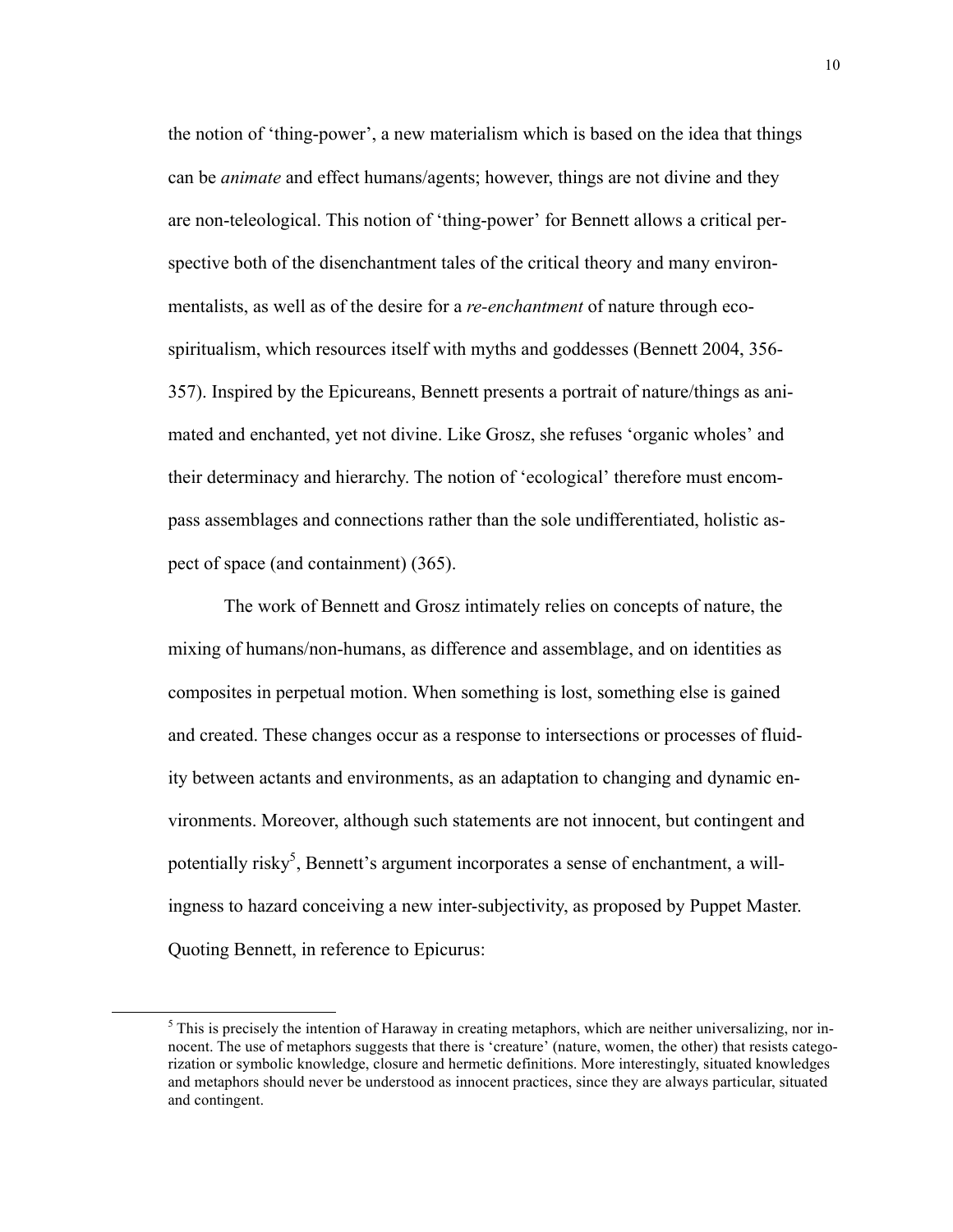the notion of 'thing-power', a new materialism which is based on the idea that things can be *animate* and effect humans/agents; however, things are not divine and they are non-teleological. This notion of 'thing-power' for Bennett allows a critical perspective both of the disenchantment tales of the critical theory and many environmentalists, as well as of the desire for a *re-enchantment* of nature through ecospiritualism, which resources itself with myths and goddesses (Bennett 2004, 356- 357). Inspired by the Epicureans, Bennett presents a portrait of nature/things as animated and enchanted, yet not divine. Like Grosz, she refuses 'organic wholes' and their determinacy and hierarchy. The notion of 'ecological' therefore must encompass assemblages and connections rather than the sole undifferentiated, holistic aspect of space (and containment) (365).

The work of Bennett and Grosz intimately relies on concepts of nature, the mixing of humans/non-humans, as difference and assemblage, and on identities as composites in perpetual motion. When something is lost, something else is gained and created. These changes occur as a response to intersections or processes of fluidity between actants and environments, as an adaptation to changing and dynamic environments. Moreover, although such statements are not innocent, but contingent and potentially risky<sup>5</sup>, Bennett's argument incorporates a sense of enchantment, a willingness to hazard conceiving a new inter-subjectivity, as proposed by Puppet Master. Quoting Bennett, in reference to Epicurus:

<sup>&</sup>lt;sup>5</sup> This is precisely the intention of Haraway in creating metaphors, which are neither universalizing, nor innocent. The use of metaphors suggests that there is 'creature' (nature, women, the other) that resists categorization or symbolic knowledge, closure and hermetic definitions. More interestingly, situated knowledges and metaphors should never be understood as innocent practices, since they are always particular, situated and contingent.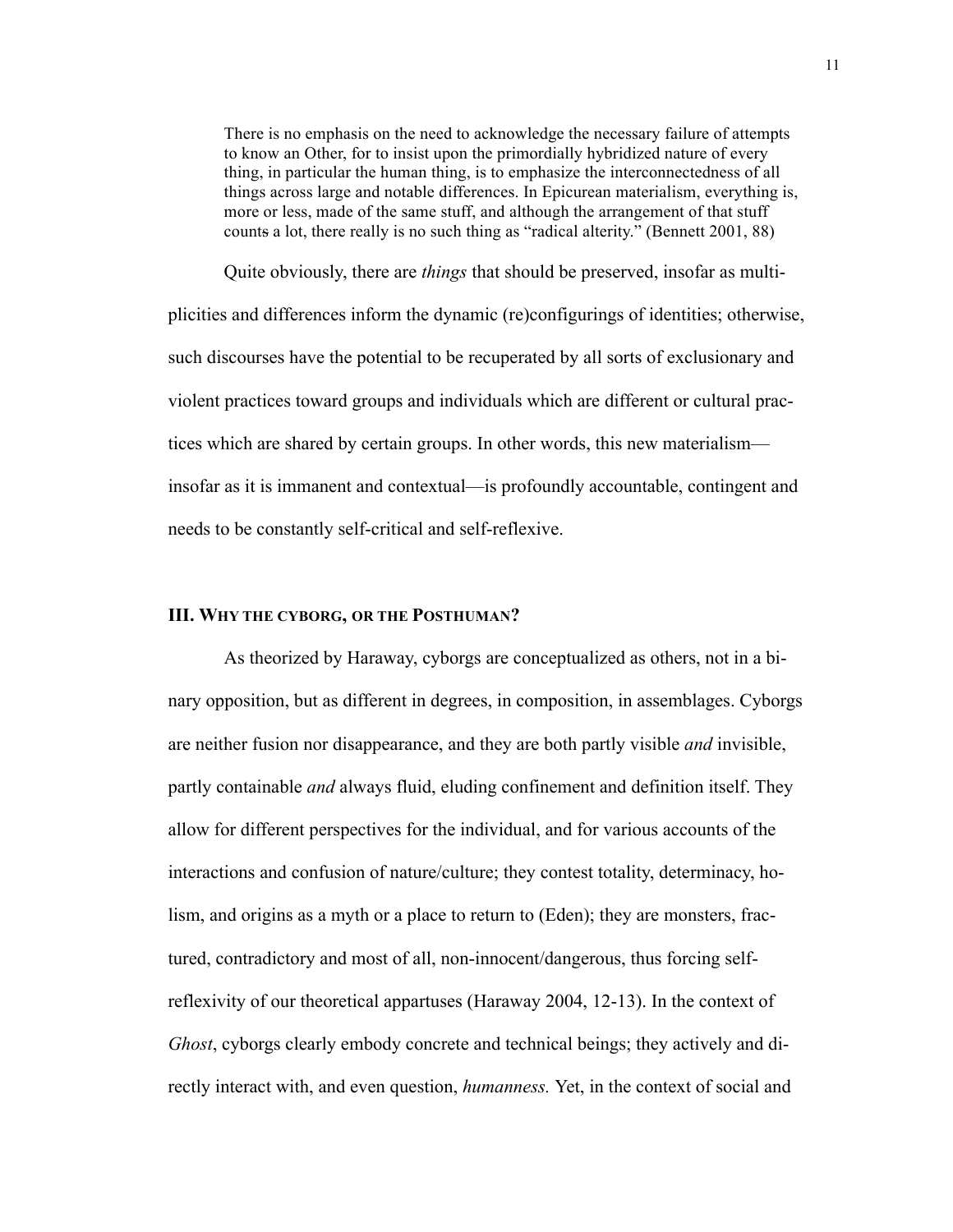There is no emphasis on the need to acknowledge the necessary failure of attempts to know an Other, for to insist upon the primordially hybridized nature of every thing, in particular the human thing, is to emphasize the interconnectedness of all things across large and notable differences. In Epicurean materialism, everything is, more or less, made of the same stuff, and although the arrangement of that stuff counts a lot, there really is no such thing as "radical alterity." (Bennett 2001, 88)

Quite obviously, there are *things* that should be preserved, insofar as multiplicities and differences inform the dynamic (re)configurings of identities; otherwise, such discourses have the potential to be recuperated by all sorts of exclusionary and violent practices toward groups and individuals which are different or cultural practices which are shared by certain groups. In other words, this new materialism insofar as it is immanent and contextual—is profoundly accountable, contingent and needs to be constantly self-critical and self-reflexive.

## **III. WHY THE CYBORG, OR THE POSTHUMAN?**

As theorized by Haraway, cyborgs are conceptualized as others, not in a binary opposition, but as different in degrees, in composition, in assemblages. Cyborgs are neither fusion nor disappearance, and they are both partly visible *and* invisible, partly containable *and* always fluid, eluding confinement and definition itself. They allow for different perspectives for the individual, and for various accounts of the interactions and confusion of nature/culture; they contest totality, determinacy, holism, and origins as a myth or a place to return to (Eden); they are monsters, fractured, contradictory and most of all, non-innocent/dangerous, thus forcing selfreflexivity of our theoretical appartuses (Haraway 2004, 12-13). In the context of *Ghost*, cyborgs clearly embody concrete and technical beings; they actively and directly interact with, and even question, *humanness.* Yet, in the context of social and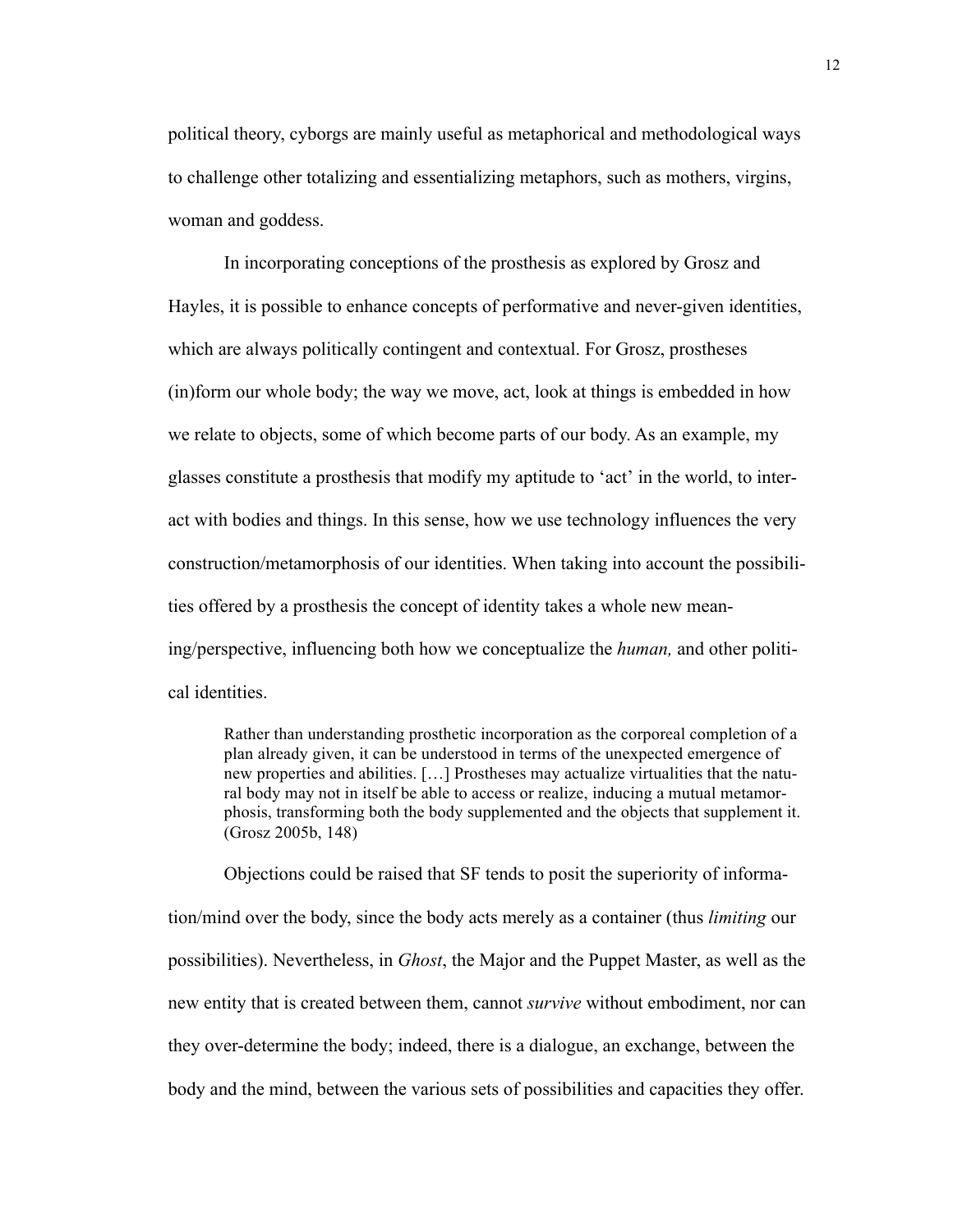political theory, cyborgs are mainly useful as metaphorical and methodological ways to challenge other totalizing and essentializing metaphors, such as mothers, virgins, woman and goddess.

In incorporating conceptions of the prosthesis as explored by Grosz and Hayles, it is possible to enhance concepts of performative and never-given identities, which are always politically contingent and contextual. For Grosz, prostheses (in)form our whole body; the way we move, act, look at things is embedded in how we relate to objects, some of which become parts of our body. As an example, my glasses constitute a prosthesis that modify my aptitude to 'act' in the world, to interact with bodies and things. In this sense, how we use technology influences the very construction/metamorphosis of our identities. When taking into account the possibilities offered by a prosthesis the concept of identity takes a whole new meaning/perspective, influencing both how we conceptualize the *human,* and other political identities.

Rather than understanding prosthetic incorporation as the corporeal completion of a plan already given, it can be understood in terms of the unexpected emergence of new properties and abilities. […] Prostheses may actualize virtualities that the natural body may not in itself be able to access or realize, inducing a mutual metamorphosis, transforming both the body supplemented and the objects that supplement it. (Grosz 2005b, 148)

Objections could be raised that SF tends to posit the superiority of information/mind over the body, since the body acts merely as a container (thus *limiting* our possibilities). Nevertheless, in *Ghost*, the Major and the Puppet Master, as well as the new entity that is created between them, cannot *survive* without embodiment, nor can they over-determine the body; indeed, there is a dialogue, an exchange, between the body and the mind, between the various sets of possibilities and capacities they offer.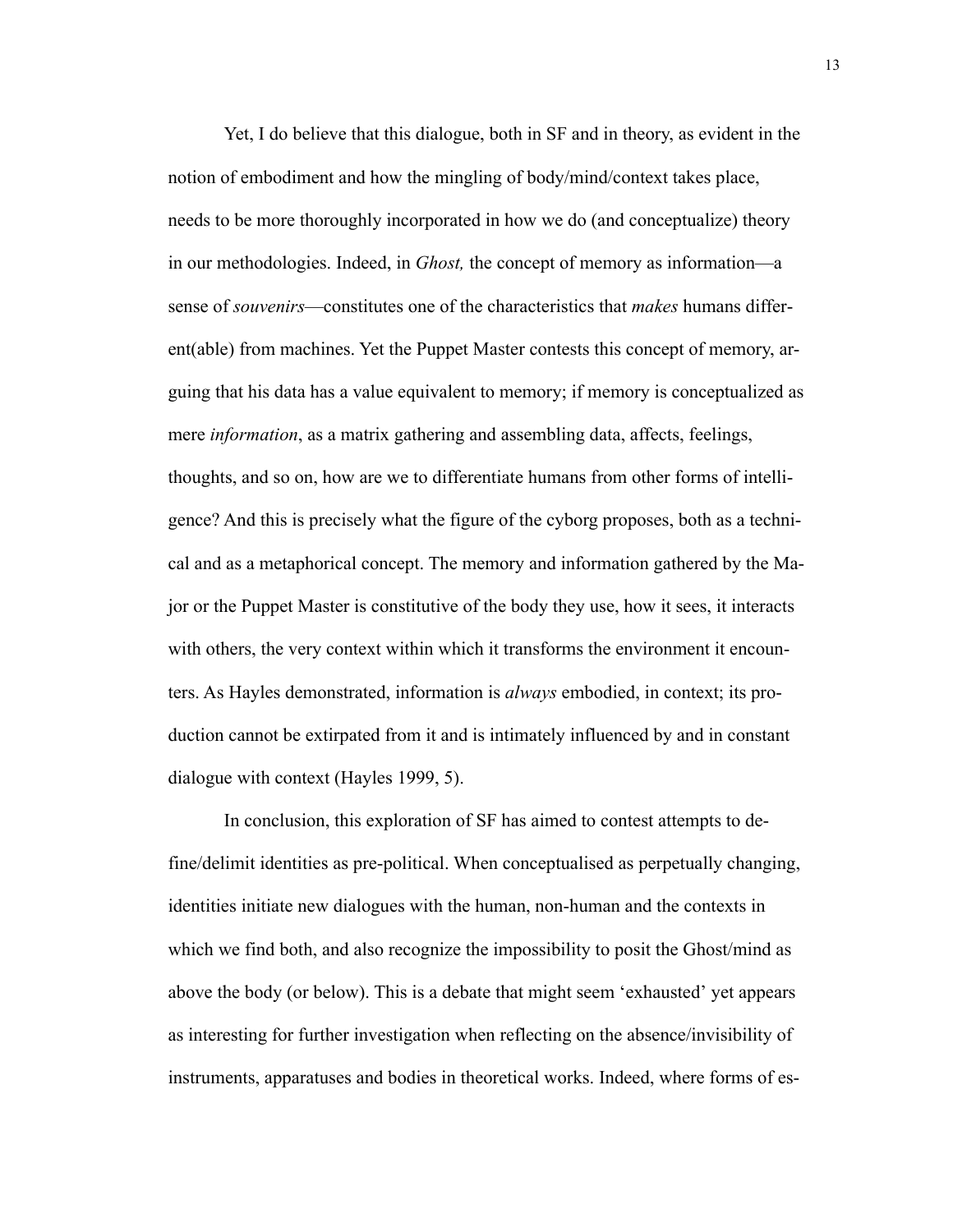Yet, I do believe that this dialogue, both in SF and in theory, as evident in the notion of embodiment and how the mingling of body/mind/context takes place, needs to be more thoroughly incorporated in how we do (and conceptualize) theory in our methodologies. Indeed, in *Ghost,* the concept of memory as information—a sense of *souvenirs*—constitutes one of the characteristics that *makes* humans different(able) from machines. Yet the Puppet Master contests this concept of memory, arguing that his data has a value equivalent to memory; if memory is conceptualized as mere *information*, as a matrix gathering and assembling data, affects, feelings, thoughts, and so on, how are we to differentiate humans from other forms of intelligence? And this is precisely what the figure of the cyborg proposes, both as a technical and as a metaphorical concept. The memory and information gathered by the Major or the Puppet Master is constitutive of the body they use, how it sees, it interacts with others, the very context within which it transforms the environment it encounters. As Hayles demonstrated, information is *always* embodied, in context; its production cannot be extirpated from it and is intimately influenced by and in constant dialogue with context (Hayles 1999, 5).

In conclusion, this exploration of SF has aimed to contest attempts to define/delimit identities as pre-political. When conceptualised as perpetually changing, identities initiate new dialogues with the human, non-human and the contexts in which we find both, and also recognize the impossibility to posit the Ghost/mind as above the body (or below). This is a debate that might seem 'exhausted' yet appears as interesting for further investigation when reflecting on the absence/invisibility of instruments, apparatuses and bodies in theoretical works. Indeed, where forms of es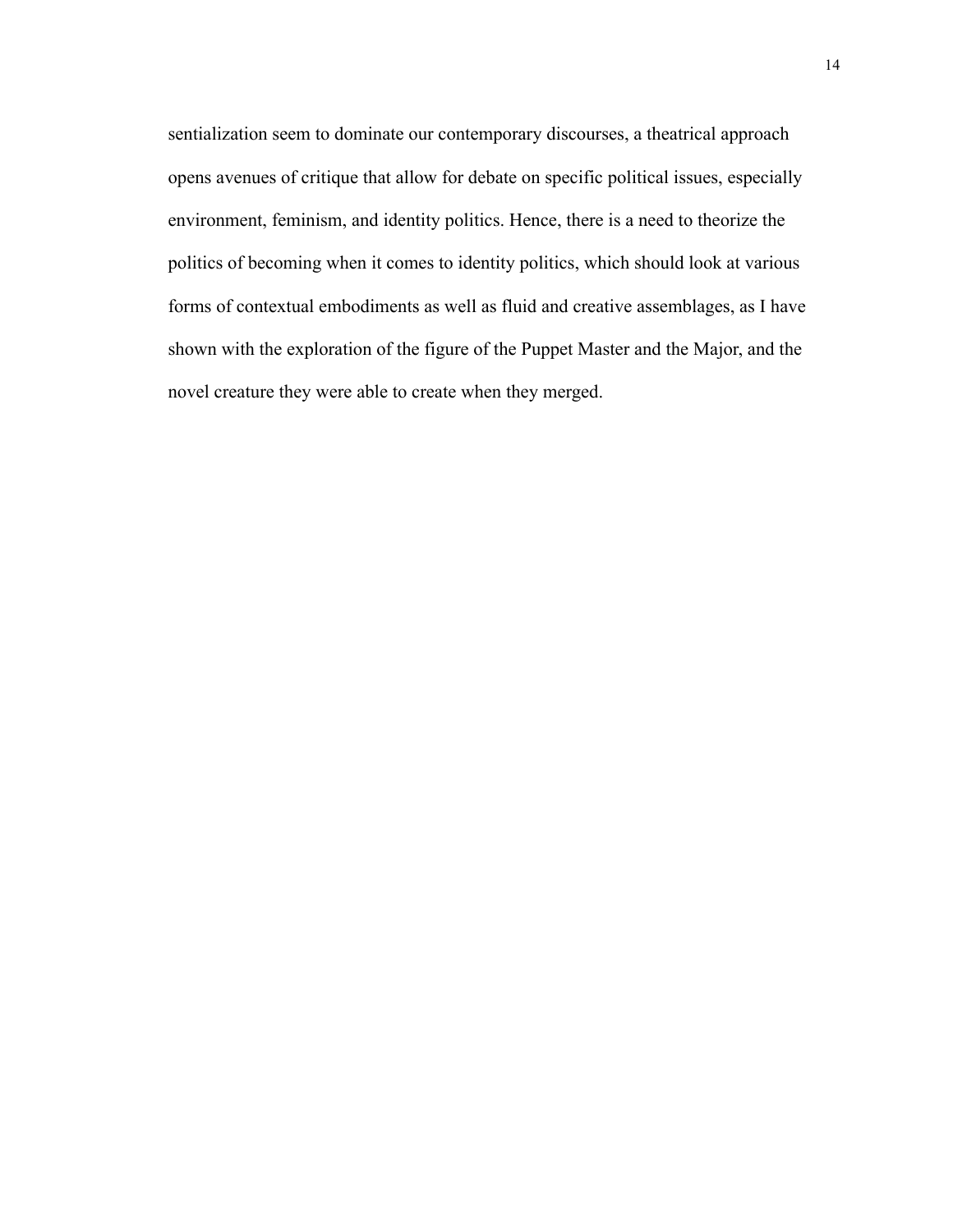sentialization seem to dominate our contemporary discourses, a theatrical approach opens avenues of critique that allow for debate on specific political issues, especially environment, feminism, and identity politics. Hence, there is a need to theorize the politics of becoming when it comes to identity politics, which should look at various forms of contextual embodiments as well as fluid and creative assemblages, as I have shown with the exploration of the figure of the Puppet Master and the Major, and the novel creature they were able to create when they merged.